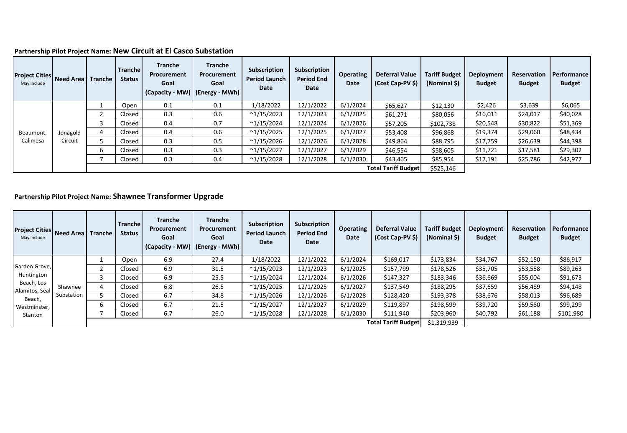### **Partnership Pilot Project Name: New Circuit at El Casco Substation**

| <b>Project Cities Need Area</b><br>May Include |          | Tranche | <b>Tranche</b><br><b>Status</b> | <b>Tranche</b><br><b>Procurement</b><br>Goal<br>(Capacity - MW) | <b>Tranche</b><br>Procurement<br>Goal<br>  (Energy - MWh) | Subscription<br><b>Period Launch</b><br>Date | Subscription<br><b>Period End</b><br>Date | <b>Operating</b><br>Date | <b>Deferral Value</b><br>(Cost Cap-PV \$) | <b>Tariff Budget</b><br>(Nominal \$) | Deployment<br><b>Budget</b> | Reservation<br><b>Budget</b> | Performance<br><b>Budget</b> |
|------------------------------------------------|----------|---------|---------------------------------|-----------------------------------------------------------------|-----------------------------------------------------------|----------------------------------------------|-------------------------------------------|--------------------------|-------------------------------------------|--------------------------------------|-----------------------------|------------------------------|------------------------------|
|                                                |          |         | Open                            | 0.1                                                             | 0.1                                                       | 1/18/2022                                    | 12/1/2022                                 | 6/1/2024                 | \$65,627                                  | \$12,130                             | \$2,426                     | \$3,639                      | \$6,065                      |
|                                                |          |         | Closed                          | 0.3                                                             | 0.6                                                       | ~1/15/2023                                   | 12/1/2023                                 | 6/1/2025                 | \$61,271                                  | \$80,056                             | \$16,011                    | \$24,017                     | \$40,028                     |
|                                                |          |         | Closed                          | 0.4                                                             | 0.7                                                       | $^{\sim}1/15/2024$                           | 12/1/2024                                 | 6/1/2026                 | \$57,205                                  | \$102,738                            | \$20,548                    | \$30,822                     | \$51,369                     |
| Beaumont,                                      | Jonagold |         | Closed                          | 0.4                                                             | 0.6                                                       | ~1/15/2025                                   | 12/1/2025                                 | 6/1/2027                 | \$53,408                                  | \$96,868                             | \$19,374                    | \$29,060                     | \$48,434                     |
| Calimesa                                       | Circuit  |         | Closed                          | 0.3                                                             | 0.5                                                       | ~1/15/2026                                   | 12/1/2026                                 | 6/1/2028                 | \$49,864                                  | \$88,795                             | \$17,759                    | \$26,639                     | \$44,398                     |
|                                                |          | b       | Closed                          | 0.3                                                             | 0.3                                                       | ~1/15/2027                                   | 12/1/2027                                 | 6/1/2029                 | \$46,554                                  | \$58,605                             | \$11,721                    | \$17,581                     | \$29,302                     |
|                                                |          |         | Closed                          | 0.3                                                             | 0.4                                                       | $^{\sim}1/15/2028$                           | 12/1/2028                                 | 6/1/2030                 | \$43,465                                  | \$85,954                             | \$17,191                    | \$25,786                     | \$42,977                     |
|                                                |          |         |                                 |                                                                 |                                                           |                                              |                                           |                          | <b>Total Tariff Budget</b>                | \$525,146                            |                             |                              |                              |

# **Partnership Pilot Project Name: Shawnee Transformer Upgrade**

| Project Cities Need Area Tranche<br>May Include |            |   | Tranche<br><b>Status</b> | <b>Tranche</b><br>Procurement<br>Goal<br>(Capacity - MW)   (Energy - MWh) | <b>Tranche</b><br>Procurement<br>Goal | Subscription<br><b>Period Launch</b><br>Date | Subscription<br><b>Period End</b><br>Date | <b>Operating</b><br>Date | <b>Deferral Value</b><br>(Cost Cap-PV \$) | <b>Tariff Budget</b><br>(Nominal \$) | Deployment<br><b>Budget</b> | <b>Reservation</b><br><b>Budget</b> | Performance<br><b>Budget</b> |
|-------------------------------------------------|------------|---|--------------------------|---------------------------------------------------------------------------|---------------------------------------|----------------------------------------------|-------------------------------------------|--------------------------|-------------------------------------------|--------------------------------------|-----------------------------|-------------------------------------|------------------------------|
|                                                 |            |   | Open                     | 6.9                                                                       | 27.4                                  | 1/18/2022                                    | 12/1/2022                                 | 6/1/2024                 | \$169,017                                 | \$173,834                            | \$34,767                    | \$52,150                            | \$86,917                     |
| Garden Grove,                                   |            |   | Closed                   | 6.9                                                                       | 31.5                                  | ~1/15/2023                                   | 12/1/2023                                 | 6/1/2025                 | \$157,799                                 | \$178,526                            | \$35,705                    | \$53,558                            | \$89,263                     |
| Huntington<br>Beach, Los<br>Alamitos, Seal      |            |   | Closed                   | 6.9                                                                       | 25.5                                  | ~1/15/2024                                   | 12/1/2024                                 | 6/1/2026                 | \$147,327                                 | \$183,346                            | \$36,669                    | \$55,004                            | \$91,673                     |
|                                                 | Shawnee    | Δ | Closed                   | 6.8                                                                       | 26.5                                  | $^{\sim}1/15/2025$                           | 12/1/2025                                 | 6/1/2027                 | \$137,549                                 | \$188,295                            | \$37,659                    | \$56,489                            | \$94,148                     |
| Beach,                                          | Substation |   | Closed                   | 6.7                                                                       | 34.8                                  | ~1/15/2026                                   | 12/1/2026                                 | 6/1/2028                 | \$128,420                                 | \$193,378                            | \$38,676                    | \$58,013                            | \$96,689                     |
| Westminster,<br>Stanton                         |            | b | Closed                   | 6.7                                                                       | 21.5                                  | $^{\sim}1/15/2027$                           | 12/1/2027                                 | 6/1/2029                 | \$119,897                                 | \$198,599                            | \$39,720                    | \$59,580                            | \$99,299                     |
|                                                 |            |   | Closed                   | 6.7                                                                       | 26.0                                  | $^{\sim}1/15/2028$                           | 12/1/2028                                 | 6/1/2030                 | \$111,940                                 | \$203,960                            | \$40,792                    | \$61,188                            | \$101,980                    |
|                                                 |            |   |                          |                                                                           |                                       |                                              |                                           |                          | <b>Total Tariff Budget</b>                | \$1,319,939                          |                             |                                     |                              |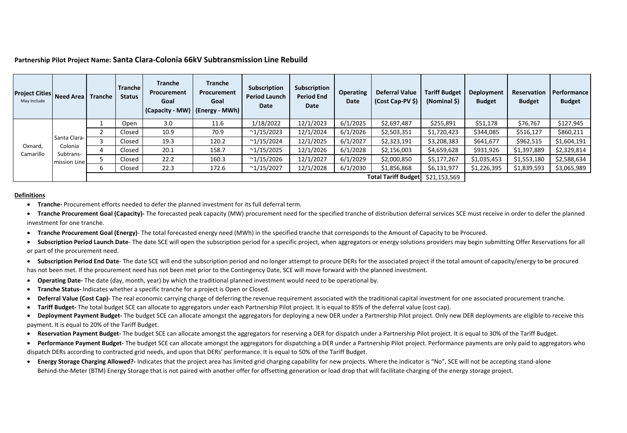#### **Partnership Pilot Project Name: Santa Clara-Colonia 66kV Subtransmission Line Rebuild**

| <b>Project Cities Need Area Tranche</b><br>May Include |                                      |   | Tranche<br><b>Status</b> | Tranche<br>Procurement<br>Goal | <b>Tranche</b><br>Procurement<br>Goal<br>(Capacity - MW)   (Energy - MWh) | Subscription<br><b>Period Launch</b><br>Date | Subscription<br><b>Period End</b><br>Date | <b>Operating</b><br>Date | <b>Deferral Value</b><br>(Cost Cap-PV \$) | <b>Tariff Budget</b><br>(Nominal \$) | Deployment<br><b>Budget</b> | <b>Reservation</b><br><b>Budget</b> | Performance<br><b>Budget</b> |
|--------------------------------------------------------|--------------------------------------|---|--------------------------|--------------------------------|---------------------------------------------------------------------------|----------------------------------------------|-------------------------------------------|--------------------------|-------------------------------------------|--------------------------------------|-----------------------------|-------------------------------------|------------------------------|
|                                                        |                                      |   | Open                     | 3.0                            | 11.6                                                                      | 1/18/2022                                    | 12/1/2023                                 | 6/1/2025                 | \$2,697,487                               | \$255,891                            | \$51,178                    | \$76,767                            | \$127,945                    |
|                                                        | Santa Clara-<br>Colonia<br>Subtrans- |   | Closed                   | 10.9                           | 70.9                                                                      | ~1/15/2023                                   | 12/1/2024                                 | 6/1/2026                 | \$2,503,351                               | \$1,720,423                          | \$344,085                   | \$516,127                           | \$860,211                    |
|                                                        |                                      |   | Closed                   | 19.3                           | 120.2                                                                     | ~1/15/2024                                   | 12/1/2025                                 | 6/1/2027                 | \$2,323,191                               | \$3,208,383                          | \$641,677                   | \$962,515                           | \$1,604,191                  |
| Oxnard,<br>Camarillo                                   |                                      | 4 | Closed                   | 20.1                           | 158.7                                                                     | ~1/15/2025                                   | 12/1/2026                                 | 6/1/2028                 | \$2,156,003                               | \$4,659,628                          | \$931,926                   | \$1,397,889                         | \$2,329,814                  |
|                                                        | mission Line                         |   | Closed                   | 22.2                           | 160.3                                                                     | $^{\sim}1/15/2026$                           | 12/1/2027                                 | 6/1/2029                 | \$2,000,850                               | \$5,177,267                          | \$1,035,453                 | \$1,553,180                         | \$2,588,634                  |
|                                                        |                                      | 6 | Closed                   | 22.3                           | 172.6                                                                     | ~1/15/2027                                   | 12/1/2028                                 | 6/1/2030                 | \$1,856,868                               | \$6,131,977                          | \$1,226,395                 | \$1,839,593                         | \$3,065,989                  |
|                                                        |                                      |   |                          |                                |                                                                           |                                              |                                           |                          | <b>Total Tariff Budget</b>                | \$21,153,569                         |                             |                                     |                              |

#### **Definitions**

- **Tranche-** Procurement efforts needed to defer the planned investment for its full deferral term.
- **Tranche Procurement Goal (Capacity)-** The forecasted peak capacity (MW) procurement need for the specified tranche of distribution deferral services SCE must receive in order to defer the planned investment for one tranche.
- **Tranche Procurement Goal (Energy)** The total forecasted energy need (MWh) in the specified tranche that corresponds to the Amount of Capacity to be Procured.
- **Subscription Period Launch Date** The date SCE will open the subscription period for a specific project, when aggregators or energy solutions providers may begin submitting Offer Reservations for all or part of the procurement need.
- **Subscription Period End Date** The date SCE will end the subscription period and no longer attempt to procure DERs for the associated project if the total amount of capacity/energy to be procured has not been met. If the procurement need has not been met prior to the Contingency Date, SCE will move forward with the planned investment.
- **Operating Date-** The date (day, month, year) by which the traditional planned investment would need to be operational by.
- **Tranche Status-** Indicates whether a specific tranche for a project is Open or Closed.
- **Deferral Value (Cost Cap)-** The real economic carrying charge of deferring the revenue requirement associated with the traditional capital investment for one associated procurement tranche.
- **Tariff Budget-** The total budget SCE can allocate to aggregators under each Partnership Pilot project. It is equal to 85% of the deferral value (cost cap).
- **Deployment Payment Budget-** The budget SCE can allocate amongst the aggregators for deploying a new DER under a Partnership Pilot project. Only new DER deployments are eligible to receive this payment. It is equal to 20% of the Tariff Budget.
- **Reservation Payment Budget-** The budget SCE can allocate amongst the aggregators for reserving a DER for dispatch under a Partnership Pilot project. It is equal to 30% of the Tariff Budget.
- **Performance Payment Budget-** The budget SCE can allocate amongst the aggregators for dispatching a DER under a Partnership Pilot project. Performance payments are only paid to aggregators who dispatch DERs according to contracted grid needs, and upon that DERs' performance. It is equal to 50% of the Tariff Budget.
- **Energy Storage Charging Allowed?-** Indicates that the project area has limited grid charging capability for new projects. Where the indicator is "No", SCE will not be accepting stand-alone Behind-the-Meter (BTM) Energy Storage that is not paired with another offer for offsetting generation or load drop that will facilitate charging of the energy storage project.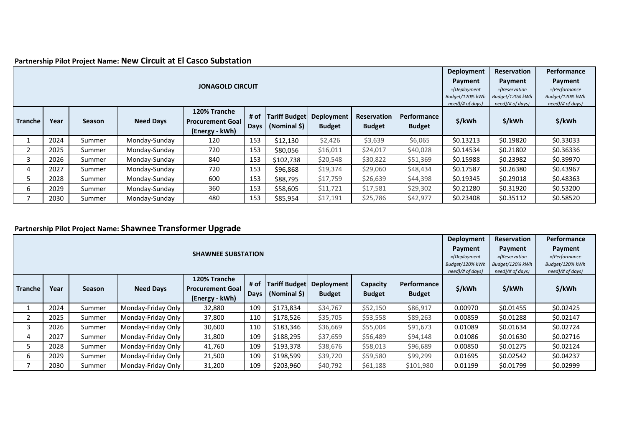# **Partnership Pilot Project Name: New Circuit at El Casco Substation**

|                |      |               |                  |                         |                     |                                      |                             |               |               | Deployment       | <b>Reservation</b> | Performance      |
|----------------|------|---------------|------------------|-------------------------|---------------------|--------------------------------------|-----------------------------|---------------|---------------|------------------|--------------------|------------------|
|                |      |               | Payment          | Payment                 | Payment             |                                      |                             |               |               |                  |                    |                  |
|                |      |               |                  | <b>JONAGOLD CIRCUIT</b> |                     |                                      |                             |               |               | $=$ (Deployment  | $=$ (Reservation   | =(Performance    |
|                |      |               |                  |                         |                     |                                      |                             |               |               | Budget/120% kWh  | Budget/120% kWh    | Budget/120% kWh  |
|                |      |               |                  | 120% Tranche            |                     |                                      |                             |               |               | need)/# of days) | need)/# of days)   | need)/# of days) |
|                |      |               |                  | Performance             |                     |                                      |                             |               |               |                  |                    |                  |
| <b>Tranche</b> | Year | <b>Season</b> | <b>Need Days</b> | <b>Procurement Goal</b> | # of<br><b>Days</b> | <b>Tariff Budget</b><br>(Nominal \$) | Deployment<br><b>Budget</b> | <b>Budget</b> | <b>Budget</b> | \$/kWh           | \$/kWh             | \$/kWh           |
|                |      |               |                  | (Energy - kWh)          |                     |                                      |                             |               |               |                  |                    |                  |
|                | 2024 | Summer        | Monday-Sunday    | 120                     | 153                 | \$12,130                             | \$2,426                     | \$3,639       | \$6,065       | \$0.13213        | \$0.19820          | \$0.33033        |
|                | 2025 | Summer        | Monday-Sunday    | 720                     | 153                 | \$80,056                             | \$16,011                    | \$24,017      | \$40,028      | \$0.14534        | \$0.21802          | \$0.36336        |
| 3              | 2026 | Summer        | Monday-Sunday    | 840                     | 153                 | \$102,738                            | \$20,548                    | \$30,822      | \$51,369      | \$0.15988        | \$0.23982          | \$0.39970        |
| 4              | 2027 | Summer        | Monday-Sunday    | 720                     | 153                 | \$96,868                             | \$19,374                    | \$29,060      | \$48,434      | \$0.17587        | \$0.26380          | \$0.43967        |
| 5              | 2028 | Summer        | Monday-Sunday    | 600                     | 153                 | \$88,795                             | \$17,759                    | \$26,639      | \$44,398      | \$0.19345        | \$0.29018          | \$0.48363        |
| 6              | 2029 | Summer        | Monday-Sunday    | \$29,302                | \$0.21280           | \$0.31920                            | \$0.53200                   |               |               |                  |                    |                  |
|                | 2030 | Summer        | Monday-Sunday    | 480                     | 153                 | \$85,954                             | \$17,191                    | \$25,786      | \$42,977      | \$0.23408        | \$0.35112          | \$0.58520        |

## **Partnership Pilot Project Name: Shawnee Transformer Upgrade**

|         |      |        |                    |                  | Deployment       | <b>Reservation</b> | Performance   |               |               |         |           |           |
|---------|------|--------|--------------------|------------------|------------------|--------------------|---------------|---------------|---------------|---------|-----------|-----------|
|         |      |        | Payment            | Payment          | Payment          |                    |               |               |               |         |           |           |
|         |      |        | $=$ (Deployment    | $=$ (Reservation | =(Performance    |                    |               |               |               |         |           |           |
|         |      |        | Budget/120% kWh    | Budget/120% kWh  | Budget/120% kWh  |                    |               |               |               |         |           |           |
|         |      |        | need)/# of days)   | need)/# of days) | need)/# of days) |                    |               |               |               |         |           |           |
|         |      |        |                    | Performance      |                  |                    |               |               |               |         |           |           |
| Tranche | Year | Season | <b>Need Days</b>   |                  | \$/kWh           | \$/kWh             | \$/kWh        |               |               |         |           |           |
|         |      |        |                    | (Energy - kWh)   | Days             | (Nominal \$)       | <b>Budget</b> | <b>Budget</b> | <b>Budget</b> |         |           |           |
|         | 2024 | Summer | Monday-Friday Only | 32,880           | 109              | \$173,834          | \$34,767      | \$52,150      | \$86,917      | 0.00970 | \$0.01455 | \$0.02425 |
|         | 2025 | Summer | Monday-Friday Only | 37,800           | 110              | \$178,526          | \$35,705      | \$53,558      | \$89,263      | 0.00859 | \$0.01288 | \$0.02147 |
|         | 2026 | Summer | Monday-Friday Only | 30,600           | 110              | \$183,346          | \$36,669      | \$55,004      | \$91,673      | 0.01089 | \$0.01634 | \$0.02724 |
| 4       | 2027 | Summer | Monday-Friday Only | 31,800           | 109              | \$188,295          | \$37,659      | \$56,489      | \$94,148      | 0.01086 | \$0.01630 | \$0.02716 |
| 5.      | 2028 | Summer | Monday-Friday Only | 41,760           | 109              | \$193,378          | \$38,676      | \$58,013      | \$96,689      | 0.00850 | \$0.01275 | \$0.02124 |
| 6       | 2029 | Summer | Monday-Friday Only | \$99,299         | 0.01695          | \$0.02542          | \$0.04237     |               |               |         |           |           |
|         | 2030 | Summer | Monday-Friday Only | 31,200           | 109              | \$203,960          | \$40,792      | \$61,188      | \$101,980     | 0.01199 | \$0.01799 | \$0.02999 |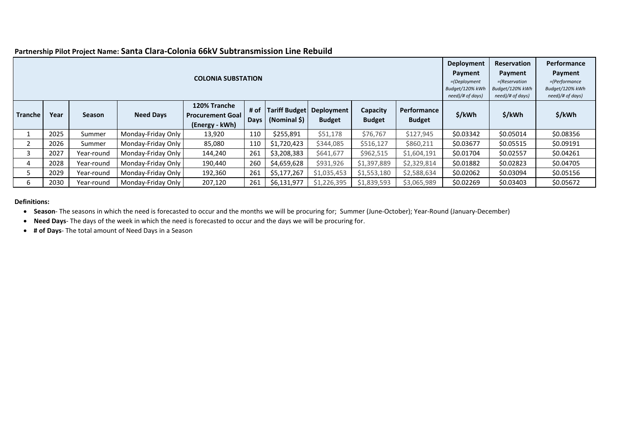|         |      |            |                    | <b>COLONIA SUBSTATION</b>                                 |                     |                                      |                             |                           |                              | Deployment<br>Payment<br>$=$ (Deployment<br>Budget/120% kWh<br>need)/# of days) | <b>Reservation</b><br>Payment<br>$=$ (Reservation<br>Budget/120% kWh<br>need)/# of days) | Performance<br>Payment<br>=(Performance<br>Budget/120% kWh<br>need)/# of days) |
|---------|------|------------|--------------------|-----------------------------------------------------------|---------------------|--------------------------------------|-----------------------------|---------------------------|------------------------------|---------------------------------------------------------------------------------|------------------------------------------------------------------------------------------|--------------------------------------------------------------------------------|
| Tranche | Year | Season     | <b>Need Days</b>   | 120% Tranche<br><b>Procurement Goal</b><br>(Energy - kWh) | # of<br><b>Days</b> | <b>Tariff Budget</b><br>(Nominal \$) | Deployment<br><b>Budget</b> | Capacity<br><b>Budget</b> | Performance<br><b>Budget</b> | \$/kWh                                                                          | \$/kWh                                                                                   | \$/kWh                                                                         |
|         | 2025 | Summer     | Monday-Friday Only | 13,920                                                    | 110                 | \$255,891                            | \$51,178                    | \$76,767                  | \$127,945                    | \$0.03342                                                                       | \$0.05014                                                                                | \$0.08356                                                                      |
|         | 2026 | Summer     | Monday-Friday Only | 85.080                                                    | 110                 | \$1,720,423                          | \$344,085                   | \$516,127                 | \$860,211                    | \$0.03677                                                                       | \$0.05515                                                                                | \$0.09191                                                                      |
| 3       | 2027 | Year-round | Monday-Friday Only | 144,240                                                   | 261                 | \$3,208,383                          | \$641,677                   | \$962,515                 | \$1,604,191                  | \$0.01704                                                                       | \$0.02557                                                                                | \$0.04261                                                                      |
| 4       | 2028 | Year-round | Monday-Friday Only | 190,440                                                   | 260                 | \$4,659,628                          | \$931,926                   | \$1,397,889               | \$2,329,814                  | \$0.01882                                                                       | \$0.02823                                                                                | \$0.04705                                                                      |
| 5       | 2029 | Year-round | Monday-Friday Only | \$2,588,634                                               | \$0.02062           | \$0.03094                            | \$0.05156                   |                           |                              |                                                                                 |                                                                                          |                                                                                |
| 6       | 2030 | Year-round | Monday-Friday Only | 207,120                                                   | 261                 | \$6,131,977                          | \$1,226,395                 | \$1,839,593               | \$3,065,989                  | \$0.02269                                                                       | \$0.03403                                                                                | \$0.05672                                                                      |

## **Partnership Pilot Project Name: Santa Clara-Colonia 66kV Subtransmission Line Rebuild**

#### **Definitions:**

• **Season**- The seasons in which the need is forecasted to occur and the months we will be procuring for; Summer (June-October); Year-Round (January-December)

• **Need Days**- The days of the week in which the need is forecasted to occur and the days we will be procuring for.

• **# of Days**- The total amount of Need Days in a Season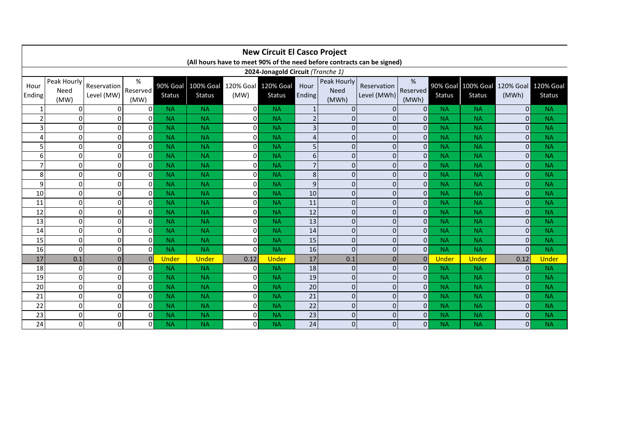|                | <b>New Circuit El Casco Project</b><br>(All hours have to meet 90% of the need before contracts can be signed) |                           |                          |                           |                                   |                |                                      |                |                              |                            |                        |                           |                                   |                           |                                   |
|----------------|----------------------------------------------------------------------------------------------------------------|---------------------------|--------------------------|---------------------------|-----------------------------------|----------------|--------------------------------------|----------------|------------------------------|----------------------------|------------------------|---------------------------|-----------------------------------|---------------------------|-----------------------------------|
|                | 2024-Jonagold Circuit (Tranche 1)                                                                              |                           |                          |                           |                                   |                |                                      |                |                              |                            |                        |                           |                                   |                           |                                   |
| Hour<br>Ending | Peak Hourly<br>Need<br>(MW)                                                                                    | Reservation<br>Level (MW) | $\%$<br>Reserved<br>(MW) | 90% Goal<br><b>Status</b> | <b>100% Goal</b><br><b>Status</b> | (MW)           | 120% Goal 120% Goal<br><b>Status</b> | Hour<br>Ending | Peak Hourly<br>Need<br>(MWh) | Reservation<br>Level (MWh) | %<br>Reserved<br>(MWh) | 90% Goal<br><b>Status</b> | <b>100% Goal</b><br><b>Status</b> | <b>120% Goal</b><br>(MWh) | <b>120% Goal</b><br><b>Status</b> |
|                | $\Omega$                                                                                                       | 0                         | Οl                       | <b>NA</b>                 | <b>NA</b>                         | $\mathbf{0}$   | <b>NA</b>                            | $\mathbf{1}$   | $\Omega$                     | $\Omega$                   | $\overline{0}$         | <b>NA</b>                 | <b>NA</b>                         | 0                         | <b>NA</b>                         |
| $\mathcal{P}$  | $\Omega$                                                                                                       | $\mathbf 0$               | $\Omega$                 | <b>NA</b>                 | <b>NA</b>                         | $\mathbf{0}$   | <b>NA</b>                            | $\overline{2}$ | $\overline{0}$               | $\Omega$                   | $\overline{0}$         | <b>NA</b>                 | <b>NA</b>                         | $\overline{0}$            | <b>NA</b>                         |
| 3              | $\Omega$                                                                                                       | $\mathbf 0$               | οI                       | <b>NA</b>                 | <b>NA</b>                         | $\overline{0}$ | <b>NA</b>                            | 3              | $\mathbf{0}$                 | $\Omega$                   | $\overline{0}$         | <b>NA</b>                 | <b>NA</b>                         | $\overline{0}$            | <b>NA</b>                         |
| 4              | 0                                                                                                              | $\mathbf 0$               | $\Omega$                 | <b>NA</b>                 | <b>NA</b>                         | $\mathbf{0}$   | <b>NA</b>                            | 4              | 0                            | $\Omega$                   | $\overline{0}$         | <b>NA</b>                 | <b>NA</b>                         | $\mathbf{0}$              | <b>NA</b>                         |
| 5              | $\Omega$                                                                                                       | $\Omega$                  | οI                       | <b>NA</b>                 | <b>NA</b>                         | $\overline{0}$ | <b>NA</b>                            | 5              | $\overline{0}$               | $\Omega$                   | $\Omega$               | <b>NA</b>                 | <b>NA</b>                         | $\Omega$                  | <b>NA</b>                         |
| 6              | $\Omega$                                                                                                       | $\Omega$                  | $\Omega$                 | <b>NA</b>                 | <b>NA</b>                         | $\overline{0}$ | <b>NA</b>                            | 6              | $\Omega$                     | $\Omega$                   | $\Omega$               | <b>NA</b>                 | <b>NA</b>                         | $\Omega$                  | <b>NA</b>                         |
| $\overline{7}$ | $\Omega$                                                                                                       | $\mathbf 0$               | οI                       | <b>NA</b>                 | <b>NA</b>                         | $\overline{0}$ | <b>NA</b>                            | $\overline{7}$ | $\mathbf 0$                  | $\Omega$                   | $\overline{0}$         | <b>NA</b>                 | <b>NA</b>                         | $\overline{0}$            | <b>NA</b>                         |
| 8              | $\Omega$                                                                                                       | $\Omega$                  | $\Omega$                 | <b>NA</b>                 | <b>NA</b>                         | $\overline{0}$ | <b>NA</b>                            | 8              | $\Omega$                     | $\Omega$                   | $\Omega$               | <b>NA</b>                 | <b>NA</b>                         | $\Omega$                  | <b>NA</b>                         |
| 9              | $\Omega$                                                                                                       | $\Omega$                  | οI                       | <b>NA</b>                 | <b>NA</b>                         | $\overline{0}$ | <b>NA</b>                            | 9              | $\overline{0}$               | $\Omega$                   | $\Omega$               | <b>NA</b>                 | <b>NA</b>                         | $\Omega$                  | <b>NA</b>                         |
| 10             | $\Omega$                                                                                                       | $\mathbf 0$               | $\Omega$                 | <b>NA</b>                 | <b>NA</b>                         | $\overline{0}$ | <b>NA</b>                            | 10             | $\Omega$                     | $\Omega$                   | $\Omega$               | <b>NA</b>                 | <b>NA</b>                         | $\overline{0}$            | <b>NA</b>                         |
| 11             | $\Omega$                                                                                                       | $\mathbf 0$               | Οl                       | <b>NA</b>                 | <b>NA</b>                         | $\mathbf{0}$   | <b>NA</b>                            | 11             | 0                            | $\Omega$                   | $\Omega$               | <b>NA</b>                 | <b>NA</b>                         | $\overline{0}$            | <b>NA</b>                         |
| 12             | $\Omega$                                                                                                       | $\mathbf 0$               | $\Omega$                 | <b>NA</b>                 | <b>NA</b>                         | $\overline{0}$ | <b>NA</b>                            | 12             | $\mathbf 0$                  | $\Omega$                   | $\overline{0}$         | <b>NA</b>                 | <b>NA</b>                         | $\overline{0}$            | <b>NA</b>                         |
| 13             | $\Omega$                                                                                                       | $\Omega$                  | Οl                       | <b>NA</b>                 | <b>NA</b>                         | $\mathbf{0}$   | <b>NA</b>                            | 13             | $\overline{0}$               | $\Omega$                   | $\Omega$               | <b>NA</b>                 | <b>NA</b>                         | $\Omega$                  | <b>NA</b>                         |
| 14             | $\Omega$                                                                                                       | $\mathbf 0$               | $\Omega$                 | <b>NA</b>                 | <b>NA</b>                         | $\overline{0}$ | <b>NA</b>                            | 14             | $\mathbf 0$                  | $\Omega$                   | $\Omega$               | <b>NA</b>                 | <b>NA</b>                         | $\overline{0}$            | <b>NA</b>                         |
| 15             | $\Omega$                                                                                                       | $\mathbf 0$               | $\Omega$                 | <b>NA</b>                 | <b>NA</b>                         | $\mathbf{0}$   | <b>NA</b>                            | 15             | $\mathbf 0$                  | $\Omega$                   | $\Omega$               | <b>NA</b>                 | <b>NA</b>                         | $\mathbf{0}$              | <b>NA</b>                         |
| 16             | $\Omega$                                                                                                       | $\mathbf 0$               | Οl                       | <b>NA</b>                 | <b>NA</b>                         | $\mathbf{0}$   | <b>NA</b>                            | 16             | $\mathbf 0$                  | $\Omega$                   | $\Omega$               | <b>NA</b>                 | <b>NA</b>                         | $\mathbf{0}$              | <b>NA</b>                         |
| 17             | 0.1                                                                                                            | $\mathbf{0}$              | $\Omega$                 | <b>Under</b>              | <b>Under</b>                      | 0.12           | <b>Under</b>                         | 17             | 0.1                          | $\Omega$                   | $\Omega$               | <b>Under</b>              | <b>Under</b>                      | 0.12                      | <b>Under</b>                      |
| 18             | $\Omega$                                                                                                       | $\mathbf 0$               | ΩI                       | <b>NA</b>                 | <b>NA</b>                         | $\overline{0}$ | <b>NA</b>                            | 18             | $\mathbf 0$                  | $\Omega$                   | $\Omega$               | <b>NA</b>                 | <b>NA</b>                         | $\Omega$                  | <b>NA</b>                         |
| 19             | $\Omega$                                                                                                       | $\mathbf 0$               | $\Omega$                 | <b>NA</b>                 | <b>NA</b>                         | $\mathbf{0}$   | <b>NA</b>                            | 19             | $\Omega$                     | $\Omega$                   | $\Omega$               | <b>NA</b>                 | <b>NA</b>                         | $\mathbf{0}$              | <b>NA</b>                         |
| 20             | $\overline{0}$                                                                                                 | $\mathbf 0$               | οI                       | <b>NA</b>                 | <b>NA</b>                         | $\overline{0}$ | <b>NA</b>                            | 20             | $\mathbf 0$                  | $\mathbf 0$                | $\overline{0}$         | <b>NA</b>                 | <b>NA</b>                         | $\overline{0}$            | <b>NA</b>                         |
| 21             | $\Omega$                                                                                                       | $\mathbf 0$               | $\Omega$                 | <b>NA</b>                 | <b>NA</b>                         | $\overline{0}$ | <b>NA</b>                            | 21             | $\mathbf 0$                  | $\Omega$                   | $\Omega$               | <b>NA</b>                 | <b>NA</b>                         | $\mathbf{0}$              | <b>NA</b>                         |
| 22             | $\Omega$                                                                                                       | $\mathbf 0$               | οI                       | <b>NA</b>                 | <b>NA</b>                         | $\mathbf 0$    | <b>NA</b>                            | 22             | $\overline{0}$               | $\Omega$                   | $\Omega$               | <b>NA</b>                 | <b>NA</b>                         | $\overline{0}$            | <b>NA</b>                         |
| 23             | $\Omega$                                                                                                       | $\mathbf 0$               | $\Omega$                 | <b>NA</b>                 | <b>NA</b>                         | $\overline{0}$ | <b>NA</b>                            | 23             | $\mathbf 0$                  | $\Omega$                   | $\Omega$               | <b>NA</b>                 | <b>NA</b>                         | $\Omega$                  | <b>NA</b>                         |
| 24             | $\Omega$                                                                                                       | $\mathbf 0$               | $\overline{0}$           | <b>NA</b>                 | <b>NA</b>                         | $\overline{0}$ | <b>NA</b>                            | 24             | 0                            | $\Omega$                   | $\overline{0}$         | <b>NA</b>                 | <b>NA</b>                         | $\Omega$                  | <b>NA</b>                         |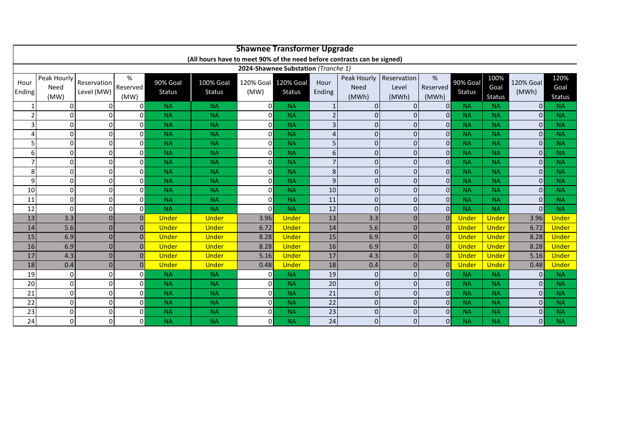|                     | <b>Shawnee Transformer Upgrade</b>                                                                             |                           |                                  |                              |                                   |                             |                              |                     |                            |                      |                          |                           |                        |                           |                              |
|---------------------|----------------------------------------------------------------------------------------------------------------|---------------------------|----------------------------------|------------------------------|-----------------------------------|-----------------------------|------------------------------|---------------------|----------------------------|----------------------|--------------------------|---------------------------|------------------------|---------------------------|------------------------------|
|                     | (All hours have to meet 90% of the need before contracts can be signed)<br>2024-Shawnee Substation (Tranche 1) |                           |                                  |                              |                                   |                             |                              |                     |                            |                      |                          |                           |                        |                           |                              |
|                     |                                                                                                                |                           |                                  |                              |                                   |                             |                              |                     |                            |                      |                          |                           |                        |                           |                              |
| Hour<br>Ending      | Peak Hourly<br>Need                                                                                            | Reservation<br>Level (MW) | %<br>Reserved                    | 90% Goal<br><b>Status</b>    | <b>100% Goal</b><br><b>Status</b> | 120% Goal 120% Goal<br>(MW) | <b>Status</b>                | Hour<br>Ending      | Peak Hourly<br><b>Need</b> | Reservation<br>Level | %<br>Reserved            | 90% Goal<br><b>Status</b> | 100%<br>Goal           | <b>120% Goal</b><br>(MWh) | 120%<br>Goal                 |
|                     | (MW)                                                                                                           |                           | (MW)                             |                              |                                   |                             |                              |                     | (MWh)                      | (MWh)                | (MWh)                    |                           | <b>Status</b>          |                           | <b>Status</b>                |
| $\mathbf{1}$        | 0                                                                                                              | 0                         | 0                                | <b>NA</b>                    | <b>NA</b>                         | $\overline{0}$              | <b>NA</b>                    | $\mathbf{1}$        | $\mathbf{0}$               | $\Omega$<br>$\Omega$ | $\mathbf{0}$             | <b>NA</b>                 | <b>NA</b>              | $\overline{0}$            | <b>NA</b>                    |
| $\overline{2}$      | 0                                                                                                              | 0                         | $\Omega$                         | <b>NA</b>                    | <b>NA</b>                         | $\Omega$                    | <b>NA</b>                    | $\overline{2}$      | $\Omega$                   |                      | $\Omega$                 | <b>NA</b>                 | <b>NA</b>              | $\Omega$                  | <b>NA</b>                    |
| 3                   | 0                                                                                                              | 0                         | 0                                | <b>NA</b>                    | <b>NA</b>                         | 0                           | <b>NA</b>                    | $\overline{3}$      | $\mathbf 0$                |                      | $\Omega$                 | <b>NA</b>                 | <b>NA</b>              | $\overline{0}$            | <b>NA</b>                    |
| 4                   | $\Omega$<br>$\Omega$                                                                                           | 0                         | <sub>0</sub><br>0                | <b>NA</b>                    | <b>NA</b>                         | $\overline{0}$              | <b>NA</b>                    | $\overline{4}$      | $\mathbf{0}$               | $\Omega$<br>$\Omega$ | $\mathbf{0}$             | <b>NA</b>                 | <b>NA</b>              | $\overline{0}$            | <b>NA</b>                    |
| 5                   | 0                                                                                                              | $\Omega$<br>$\Omega$      | $\Omega$                         | <b>NA</b>                    | <b>NA</b>                         | 0<br>$\overline{0}$         | <b>NA</b>                    | 5                   | $\mathbf 0$                | $\Omega$             | $\mathbf 0$              | <b>NA</b>                 | <b>NA</b>              | $\overline{0}$<br>0       | <b>NA</b>                    |
| 6<br>$\overline{7}$ | $\Omega$                                                                                                       | $\Omega$                  | 0                                | <b>NA</b><br><b>NA</b>       | <b>NA</b>                         | $\Omega$                    | <b>NA</b><br><b>NA</b>       | 6<br>$\overline{7}$ | $\mathbf{0}$<br>$\Omega$   | $\Omega$             | $\mathbf{0}$<br>$\Omega$ | <b>NA</b><br><b>NA</b>    | <b>NA</b><br><b>NA</b> | 0                         | <b>NA</b>                    |
|                     | 0                                                                                                              | $\Omega$                  | $\overline{0}$                   |                              | <b>NA</b>                         | $\mathsf{O}$                |                              | 8                   |                            | $\Omega$             | $\mathbf 0$              | <b>NA</b>                 |                        | $\overline{0}$            | <b>NA</b>                    |
| 8                   |                                                                                                                |                           | $\Omega$                         | <b>NA</b>                    | <b>NA</b>                         |                             | <b>NA</b>                    |                     | $\mathbf 0$<br>$\Omega$    | $\Omega$             |                          |                           | <b>NA</b>              |                           | <b>NA</b>                    |
| 9                   | 0                                                                                                              | $\Omega$                  | οI                               | <b>NA</b>                    | <b>NA</b>                         | $\mathsf{O}$                | <b>NA</b>                    | 9                   |                            |                      | $\Omega$                 | <b>NA</b>                 | <b>NA</b>              | 0                         | <b>NA</b>                    |
| 10                  | $\Omega$                                                                                                       | $\Omega$                  |                                  | <b>NA</b>                    | <b>NA</b>                         | $\mathsf{O}$                | <b>NA</b>                    | 10                  | $\overline{0}$             | $\Omega$             | $\mathbf{0}$             | <b>NA</b>                 | <b>NA</b>              | 0                         | <b>NA</b>                    |
| 11                  | 0                                                                                                              | $\Omega$                  | $\Omega$                         | <b>NA</b>                    | <b>NA</b>                         | $\Omega$<br>$\Omega$        | <b>NA</b>                    | 11                  | $\mathbf{0}$               | $\Omega$<br>$\Omega$ | $\Omega$                 | <b>NA</b>                 | <b>NA</b>              | $\Omega$<br>οl            | <b>NA</b>                    |
| 12                  | 0                                                                                                              | $\Omega$<br>$\Omega$      | $\overline{0}$<br>$\overline{0}$ | <b>NA</b>                    | <b>NA</b>                         | 3.96                        | <b>NA</b>                    | 12                  | $\mathbf 0$<br>3.3         | $\Omega$             | $\mathbf 0$<br>$\Omega$  | <b>NA</b><br><b>Under</b> | <b>NA</b>              |                           | <b>NA</b>                    |
| 13<br>14            | 3.3<br>5.6                                                                                                     | $\Omega$                  | $\Omega$                         | <b>Under</b><br><b>Under</b> | <b>Under</b><br><b>Under</b>      | 6.72                        | <b>Under</b><br><b>Under</b> | 13<br>14            | 5.6                        | $\Omega$             | $\Omega$                 | <b>Under</b>              | Under<br>Under         | 3.96<br>6.72              | <b>Under</b><br><b>Under</b> |
| 15                  | 6.9                                                                                                            | $\Omega$                  | $\Omega$                         | <b>Under</b>                 | <b>Under</b>                      | 8.28                        | <b>Under</b>                 | 15                  | 6.9                        | $\Omega$             | $\Omega$                 | <b>Under</b>              | <b>Under</b>           | 8.28                      | Under                        |
| 16                  | 6.9                                                                                                            | $\Omega$                  | $\Omega$                         | <b>Under</b>                 | <b>Under</b>                      | 8.28                        | <b>Under</b>                 | 16                  | 6.9                        | $\Omega$             | $\Omega$                 | <b>Under</b>              | <b>Under</b>           | 8.28                      | <b>Under</b>                 |
| 17                  | 4.3                                                                                                            | $\Omega$                  | $\Omega$                         | <b>Under</b>                 | <b>Under</b>                      | 5.16                        | <b>Under</b>                 | 17                  | 4.3                        | $\Omega$             | $\Omega$                 | <b>Under</b>              | <b>Under</b>           | 5.16                      | <b>Under</b>                 |
| 18                  | 0.4                                                                                                            | $\Omega$                  | $\Omega$                         | <b>Under</b>                 | <b>Under</b>                      | 0.48                        | <b>Under</b>                 | 18                  | 0.4                        |                      | $\Omega$                 | <b>Under</b>              | <b>Under</b>           | 0.48                      | <b>Under</b>                 |
| 19                  | $\Omega$                                                                                                       | 0                         | $\Omega$                         | <b>NA</b>                    | <b>NA</b>                         | 0                           | <b>NA</b>                    | 19                  | $\mathbf{0}$               | $\Omega$             | $\Omega$                 | <b>NA</b>                 | <b>NA</b>              | $\Omega$                  | <b>NA</b>                    |
| 20                  | 0                                                                                                              | 0                         | 0                                | <b>NA</b>                    | <b>NA</b>                         | 0                           | <b>NA</b>                    | 20                  | $\mathbf{0}$               | $\Omega$             | $\Omega$                 | <b>NA</b>                 | <b>NA</b>              | $\overline{0}$            | <b>NA</b>                    |
| 21                  | 0                                                                                                              | 0                         | 0                                | <b>NA</b>                    | <b>NA</b>                         | $\overline{0}$              | <b>NA</b>                    | 21                  | $\mathbf{0}$               | $\Omega$             | $\mathbf{0}$             | <b>NA</b>                 | <b>NA</b>              | 0                         | <b>NA</b>                    |
| 22                  | 0                                                                                                              | 0                         | 0                                | <b>NA</b>                    | <b>NA</b>                         | 0                           | <b>NA</b>                    | 22                  | $\Omega$                   | $\Omega$             | $\mathbf{0}$             | <b>NA</b>                 | <b>NA</b>              | $\overline{0}$            | <b>NA</b>                    |
| 23                  | 0                                                                                                              | 0                         | $\Omega$                         | <b>NA</b>                    | <b>NA</b>                         | $\overline{0}$              | <b>NA</b>                    | 23                  | $\mathbf{0}$               | $\Omega$             | $\mathbf{0}$             | <b>NA</b>                 | <b>NA</b>              | $\overline{0}$            | <b>NA</b>                    |
| 24                  | 0                                                                                                              | $\Omega$                  | $\Omega$                         | <b>NA</b>                    | <b>NA</b>                         | 0                           | <b>NA</b>                    | 24                  | $\mathbf 0$                | $\Omega$             | $\Omega$                 | <b>NA</b>                 | <b>NA</b>              | $\overline{0}$            | <b>NA</b>                    |